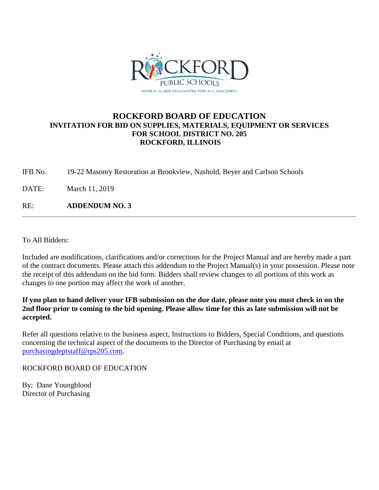

## **ROCKFORD BOARD OF EDUCATION INVITATION FOR BID ON SUPPLIES, MATERIALS, EQUIPMENT OR SERVICES FOR SCHOOL DISTRICT NO. 205 ROCKFORD, ILLINOIS**

IFB No. 19-22 Masonry Restoration at Brookview, Nashold, Beyer and Carlson Schools

DATE: March 11, 2019

RE: **ADDENDUM NO. 3**

To All Bidders:

Included are modifications, clarifications and/or corrections for the Project Manual and are hereby made a part of the contract documents. Please attach this addendum to the Project Manual(s) in your possession. Please note the receipt of this addendum on the bid form. Bidders shall review changes to all portions of this work as changes to one portion may affect the work of another.

**If you plan to hand deliver your IFB submission on the due date, please note you must check in on the 2nd floor prior to coming to the bid opening. Please allow time for this as late submission will not be accepted.**

Refer all questions relative to the business aspect, Instructions to Bidders, Special Conditions, and questions concerning the technical aspect of the documents to the Director of Purchasing by email at [purchasingdeptstaff@rps205.com.](mailto:purchasingdeptstaff@rps205.com)

ROCKFORD BOARD OF EDUCATION

By: Dane Youngblood Director of Purchasing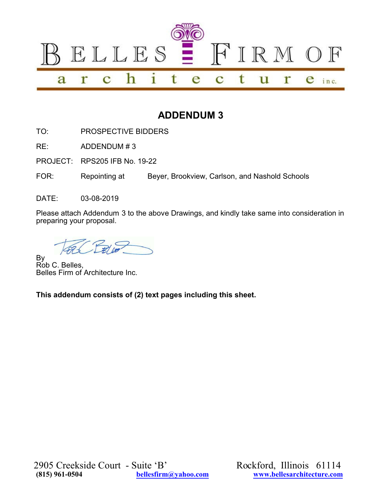

## **ADDENDUM 3**

TO: PROSPECTIVE BIDDERS

RE: ADDENDUM # 3

PROJECT: RPS205 IFB No. 19-22

FOR: Repointing at Beyer, Brookview, Carlson, and Nashold Schools

DATE: 03-08-2019

Please attach Addendum 3 to the above Drawings, and kindly take same into consideration in preparing your proposal.

By Rob C. Belles, Belles Firm of Architecture Inc.

**This addendum consists of (2) text pages including this sheet.**